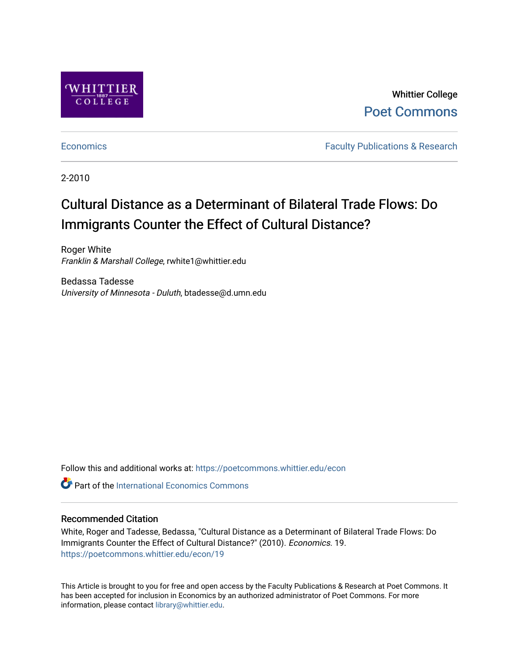

Whittier College [Poet Commons](https://poetcommons.whittier.edu/) 

[Economics](https://poetcommons.whittier.edu/econ) **Faculty Publications & Research** 

2-2010

## Cultural Distance as a Determinant of Bilateral Trade Flows: Do Immigrants Counter the Effect of Cultural Distance?

Roger White Franklin & Marshall College, rwhite1@whittier.edu

Bedassa Tadesse University of Minnesota - Duluth, btadesse@d.umn.edu

Follow this and additional works at: [https://poetcommons.whittier.edu/econ](https://poetcommons.whittier.edu/econ?utm_source=poetcommons.whittier.edu%2Fecon%2F19&utm_medium=PDF&utm_campaign=PDFCoverPages)

**C** Part of the International Economics Commons

### Recommended Citation

White, Roger and Tadesse, Bedassa, "Cultural Distance as a Determinant of Bilateral Trade Flows: Do Immigrants Counter the Effect of Cultural Distance?" (2010). Economics. 19. [https://poetcommons.whittier.edu/econ/19](https://poetcommons.whittier.edu/econ/19?utm_source=poetcommons.whittier.edu%2Fecon%2F19&utm_medium=PDF&utm_campaign=PDFCoverPages) 

This Article is brought to you for free and open access by the Faculty Publications & Research at Poet Commons. It has been accepted for inclusion in Economics by an authorized administrator of Poet Commons. For more information, please contact [library@whittier.edu.](mailto:library@whittier.edu)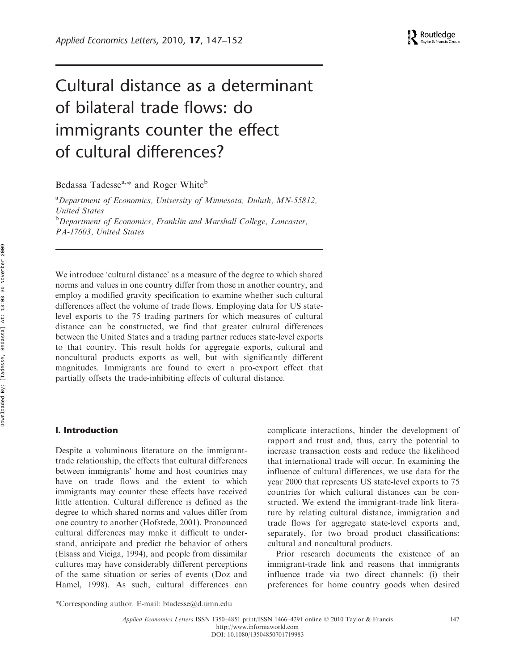# Cultural distance as a determinant of bilateral trade flows: do immigrants counter the effect of cultural differences?

Bedassa Tadesse<sup>a,\*</sup> and Roger White<sup>b</sup>

<sup>a</sup>Department of Economics, University of Minnesota, Duluth, MN-55812, United States <sup>b</sup>Department of Economics, Franklin and Marshall College, Lancaster, PA-17603, United States

We introduce 'cultural distance' as a measure of the degree to which shared norms and values in one country differ from those in another country, and employ a modified gravity specification to examine whether such cultural differences affect the volume of trade flows. Employing data for US statelevel exports to the 75 trading partners for which measures of cultural distance can be constructed, we find that greater cultural differences between the United States and a trading partner reduces state-level exports to that country. This result holds for aggregate exports, cultural and noncultural products exports as well, but with significantly different magnitudes. Immigrants are found to exert a pro-export effect that partially offsets the trade-inhibiting effects of cultural distance.

#### I. Introduction

Despite a voluminous literature on the immigranttrade relationship, the effects that cultural differences between immigrants' home and host countries may have on trade flows and the extent to which immigrants may counter these effects have received little attention. Cultural difference is defined as the degree to which shared norms and values differ from one country to another (Hofstede, 2001). Pronounced cultural differences may make it difficult to understand, anticipate and predict the behavior of others (Elsass and Vieiga, 1994), and people from dissimilar cultures may have considerably different perceptions of the same situation or series of events (Doz and Hamel, 1998). As such, cultural differences can

complicate interactions, hinder the development of rapport and trust and, thus, carry the potential to increase transaction costs and reduce the likelihood that international trade will occur. In examining the influence of cultural differences, we use data for the year 2000 that represents US state-level exports to 75 countries for which cultural distances can be constructed. We extend the immigrant-trade link literature by relating cultural distance, immigration and trade flows for aggregate state-level exports and, separately, for two broad product classifications: cultural and noncultural products.

Prior research documents the existence of an immigrant-trade link and reasons that immigrants influence trade via two direct channels: (i) their preferences for home country goods when desired

<sup>\*</sup>Corresponding author. E-mail: [btadesse@d.umn.edu](mailto:btadesse@d.umn.edu)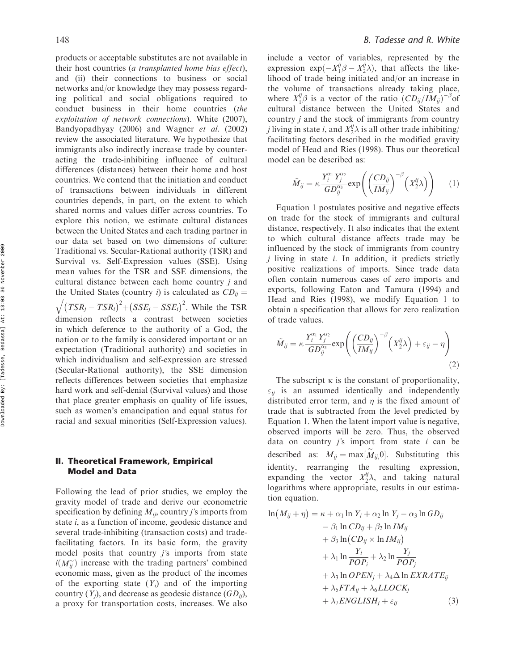products or acceptable substitutes are not available in their host countries (a transplanted home bias effect), and (ii) their connections to business or social networks and/or knowledge they may possess regarding political and social obligations required to conduct business in their home countries (the exploitation of network connections). White (2007), Bandyopadhyay (2006) and Wagner et al. (2002) review the associated literature. We hypothesize that immigrants also indirectly increase trade by counteracting the trade-inhibiting influence of cultural differences (distances) between their home and host countries. We contend that the initiation and conduct of transactions between individuals in different countries depends, in part, on the extent to which shared norms and values differ across countries. To explore this notion, we estimate cultural distances between the United States and each trading partner in our data set based on two dimensions of culture: Traditional vs. Secular-Rational authority (TSR) and Survival vs. Self-Expression values (SSE). Using mean values for the TSR and SSE dimensions, the cultural distance between each home country j and the United States (country i) is calculated as  $CD_{ij}$  =  $\sqrt{\left(\overline{TSR}_j - \overline{TSR}_i\right)^2 + \left(\overline{SSE}_j - \overline{SSE}_i\right)^2}$ . While the TSR dimension reflects a contrast between societies in which deference to the authority of a God, the nation or to the family is considered important or an expectation (Traditional authority) and societies in which individualism and self-expression are stressed (Secular-Rational authority), the SSE dimension reflects differences between societies that emphasize hard work and self-denial (Survival values) and those that place greater emphasis on quality of life issues, such as women's emancipation and equal status for racial and sexual minorities (Self-Expression values).

#### II. Theoretical Framework, Empirical Model and Data

Following the lead of prior studies, we employ the gravity model of trade and derive our econometric specification by defining  $M_{ij}$ , country j's imports from state i, as a function of income, geodesic distance and several trade-inhibiting (transaction costs) and tradefacilitating factors. In its basic form, the gravity model posits that country  $j$ 's imports from state  $i(M_{ij}^{\sim})$  increase with the trading partners' combined economic mass, given as the product of the incomes of the exporting state  $(Y_i)$  and of the importing country  $(Y_i)$ , and decrease as geodesic distance  $(GD_{ii})$ , a proxy for transportation costs, increases. We also

include a vector of variables, represented by the expression  $\exp(-X_1^{ij}\beta - X_2^{ij}\lambda)$ , that affects the likelihood of trade being initiated and/or an increase in the volume of transactions already taking place, where  $X_1^{ij}\beta$  is a vector of the ratio  $(CD_{ij}/IM_{ij})^{-\beta}$ of cultural distance between the United States and country  $j$  and the stock of immigrants from country *j* living in state *i*, and  $X_2^{ij}\lambda$  is all other trade inhibiting/ facilitating factors described in the modified gravity model of Head and Ries (1998). Thus our theoretical model can be described as:

$$
\tilde{M}_{ij} = \kappa \frac{Y_i^{\alpha_1} Y_j^{\alpha_2}}{GD_{ij}^{\alpha_3}} \exp\left(\left(\frac{CD_{ij}}{IM_{ij}}\right)^{-\beta} \left(X_2^{ij}\lambda\right)\right) \tag{1}
$$

Equation 1 postulates positive and negative effects on trade for the stock of immigrants and cultural distance, respectively. It also indicates that the extent to which cultural distance affects trade may be influenced by the stock of immigrants from country  $i$  living in state  $i$ . In addition, it predicts strictly positive realizations of imports. Since trade data often contain numerous cases of zero imports and exports, following Eaton and Tamura (1994) and Head and Ries (1998), we modify Equation 1 to obtain a specification that allows for zero realization of trade values.

$$
\tilde{M}_{ij} = \kappa \frac{Y_i^{\alpha_1} Y_j^{\alpha_2}}{GD_{ij}^{\alpha_3}} \exp\left(\left(\frac{CD_{ij}}{IM_{ij}}\right)^{-\beta} \left(X_2^{ij}\lambda\right) + \varepsilon_{ij} - \eta\right)
$$
\n(2)

The subscript  $\kappa$  is the constant of proportionality,  $\varepsilon_{ii}$  is an assumed identically and independently distributed error term, and  $\eta$  is the fixed amount of trade that is subtracted from the level predicted by Equation 1. When the latent import value is negative, observed imports will be zero. Thus, the observed data on country  $j$ 's import from state  $i$  can be described as:  $M_{ij} = \max[\widetilde{M}_{ij}, 0]$ . Substituting this identity, rearranging the resulting expression, expanding the vector  $X_2^{ij}\lambda$ , and taking natural logarithms where appropriate, results in our estimation equation.

$$
\ln(M_{ij} + \eta) = \kappa + \alpha_1 \ln Y_i + \alpha_2 \ln Y_j - \alpha_3 \ln GD_{ij}
$$
  
\n
$$
- \beta_1 \ln CD_{ij} + \beta_2 \ln IM_{ij}
$$
  
\n
$$
+ \beta_3 \ln (CD_{ij} \times \ln IM_{ij})
$$
  
\n
$$
+ \lambda_1 \ln \frac{Y_i}{POP_i} + \lambda_2 \ln \frac{Y_j}{POP_j}
$$
  
\n
$$
+ \lambda_3 \ln OPEN_j + \lambda_4 \Delta \ln EXRATE_{ij}
$$
  
\n
$$
+ \lambda_5 FTA_{ij} + \lambda_6 LLOCK_j
$$
  
\n
$$
+ \lambda_7 ENGLISH_j + \varepsilon_{ij}
$$
\n(3)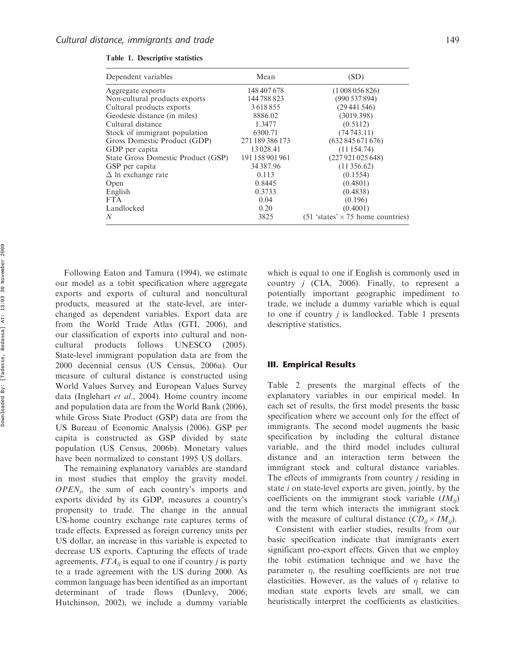| Dependent variables                | Mean            | (SD)                                                     |
|------------------------------------|-----------------|----------------------------------------------------------|
| Aggregate exports                  | 148 407 678     | (1008056826)                                             |
| Non-cultural products exports      | 144788823       | (990537894)                                              |
| Cultural products exports          | 3618855         | (29441546)                                               |
| Geodesic distance (in miles)       | 8886.02         | (3019.398)                                               |
| Cultural distance                  | 1.3477          | (0.5112)                                                 |
| Stock of immigrant population      | 6300.71         | (74743.11)                                               |
| Gross Domestic Product (GDP)       | 271 189 386 173 | (632845671676)                                           |
| GDP per capita                     | 13028.41        | (11154.74)                                               |
| State Gross Domestic Product (GSP) | 191 158 901 961 | (227921025648)                                           |
| GSP per capita                     | 34387.96        | (11356.62)                                               |
| $\Delta$ ln exchange rate          | 0.113           | (0.1554)                                                 |
| Open                               | 0.8445          | (0.4801)                                                 |
| English                            | 0.3733          | (0.4838)                                                 |
| <b>FTA</b>                         | 0.04            | (0.196)                                                  |
| Landlocked                         | 0.20            | (0.4001)                                                 |
| N                                  | 3825            | $(51 \text{ 'states'} \times 75 \text{ home countries})$ |

Table 1. Descriptive statistics

Following Eaton and Tamura (1994), we estimate our model as a tobit specification where aggregate exports and exports of cultural and noncultural products, measured at the state-level, are interchanged as dependent variables. Export data are from the World Trade Atlas (GTI, 2006), and our classification of exports into cultural and noncultural products follows UNESCO (2005). State-level immigrant population data are from the 2000 decennial census (US Census, 2006a). Our measure of cultural distance is constructed using World Values Survey and European Values Survey data (Inglehart et al., 2004). Home country income and population data are from the World Bank (2006), while Gross State Product (GSP) data are from the US Bureau of Economic Analysis (2006). GSP per capita is constructed as GSP divided by state population (US Census, 2006b). Monetary values have been normalized to constant 1995 US dollars.

The remaining explanatory variables are standard in most studies that employ the gravity model.  $OPEN<sub>i</sub>$ , the sum of each country's imports and exports divided by its GDP, measures a country's propensity to trade. The change in the annual US-home country exchange rate captures terms of trade effects. Expressed as foreign currency units per US dollar, an increase in this variable is expected to decrease US exports. Capturing the effects of trade agreements,  $FTA_{ii}$  is equal to one if country *j* is party to a trade agreement with the US during 2000. As common language has been identified as an important determinant of trade flows (Dunlevy, 2006; Hutchinson, 2002), we include a dummy variable

which is equal to one if English is commonly used in country  $j$  (CIA, 2006). Finally, to represent a potentially important geographic impediment to trade, we include a dummy variable which is equal to one if country  $j$  is landlocked. Table 1 presents descriptive statistics.

#### III. Empirical Results

Table 2 presents the marginal effects of the explanatory variables in our empirical model. In each set of results, the first model presents the basic specification where we account only for the effect of immigrants. The second model augments the basic specification by including the cultural distance variable, and the third model includes cultural distance and an interaction term between the immigrant stock and cultural distance variables. The effects of immigrants from country *j* residing in state *i* on state-level exports are given, jointly, by the coefficients on the immigrant stock variable  $(IM_{ii})$ and the term which interacts the immigrant stock with the measure of cultural distance  $(CD_{ii} \times IM_{ii})$ .

Consistent with earlier studies, results from our basic specification indicate that immigrants exert significant pro-export effects. Given that we employ the tobit estimation technique and we have the parameter  $\eta$ , the resulting coefficients are not true elasticities. However, as the values of  $\eta$  relative to median state exports levels are small, we can heuristically interpret the coefficients as elasticities.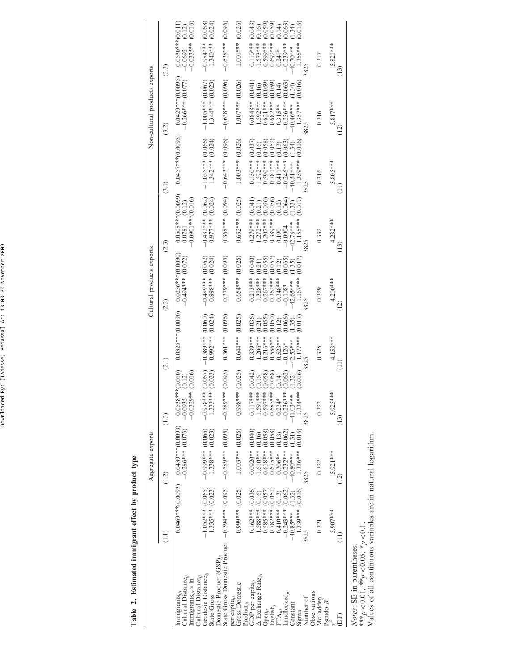Downloaded By: [Tadesse, Bedassa] At: 13:03 30 November 2009 Downloaded By: [Tadesse, Bedassa] At: 13:03 30 November 2009

> Table 2. Estimated immigrant effect by product type Table 2. Estimated immigrant effect by product type

 $\overline{\phantom{a}}$ 

|                                                                                                            |                                             | Aggregate exports                             |                                                                     |                                              | Cultural products exports                                |                                                                     |                                                                                                                                  | Non-cultural products exports                |                                                                     |
|------------------------------------------------------------------------------------------------------------|---------------------------------------------|-----------------------------------------------|---------------------------------------------------------------------|----------------------------------------------|----------------------------------------------------------|---------------------------------------------------------------------|----------------------------------------------------------------------------------------------------------------------------------|----------------------------------------------|---------------------------------------------------------------------|
|                                                                                                            | E                                           | $\widetilde{(-1)}$                            | (1.3)                                                               | $\overset{\frown}{\alpha}$                   | (2.2)                                                    | (2.3)                                                               | (3.1)                                                                                                                            | (3.2)                                        | (3.3)                                                               |
| Cultural Distance $_{ii}$<br>$\lim\min_{g}$ rants <sub>iit</sub> $\times$ $\ln$<br>$\lim\limits_{ij}$      | $0.0469***$ (0.0093)                        | $0.0439***$ (0.0093)<br>$-0.286***$ (0.076)   | (0.016)<br>$0.0538***(0.010)$<br>(0.12)<br>$-0.0329**$<br>$-0.0935$ | $0.0325***$ (0.0090)                         | $0.0256***(0.0090)$<br>$-0.494***$ (0.072)               | $0.0508***$ (0.0099)<br>$-0.0901$ *** $(0.016)$<br>(0.12)<br>0.0781 | $0.0457***$ (0.0095)                                                                                                             | $0.0429***$ (0.0095)<br>-0.266*** (0.077)    | (0.016)<br>$0.0530***(0.011)$<br>(0.12)<br>$-0.0335**$<br>$-0.0692$ |
| Geodesic Distance <sub>ii</sub><br>Cultural Distance,<br>State Gross                                       | $1.335***$ (0.023)<br>$-1.052***$ (0.065)   | $1.338***$ (0.023)<br>$-0.999$ *** $(0.066)$  | (0.023)<br>(0.067)<br>$1.333***$<br>$-0.978***$                     | $0.992***$ (0.024)<br>(0.060)<br>$-0.589***$ | $(6.0000)$ *** $(0.004)$<br>(0.062)<br>$-0.489***$       | $-0.432***$ (0.062)<br>0.977*** (0.024)                             | $1.342***$ (0.024)<br>$1.055***$ (0.066)                                                                                         | (0.023)<br>$1.005***$ (0.067)<br>1.344***    | $1.340***$ (0.024)<br>(0.068)<br>$-0.984***$                        |
| State Gross Domestic Product 0.595, -0.5989*** (0.595) -0.5989****<br>Domestic Product (GSP) <sub>it</sub> |                                             |                                               | (0.095)                                                             | $0.361***$ $(0.096)$                         | $0.379***$ (0.095)                                       | $0.368***$ (0.094)                                                  | $-0.643***$ (0.096)                                                                                                              | $-0.638***$ (0.096)                          | $-0.638***$ (0.096)                                                 |
| Gross Domestic<br>per capita $_{ji}$                                                                       | $0.999***$ (0.025)                          | $1.003***$ $(0.025)$                          | (0.025)<br>***866'0                                                 | $0.644***$ (0.025)                           | (0.025)<br>$0.654***$                                    | $0.632***$ (0.025)                                                  | (0.026)<br>$1.003***$                                                                                                            | (0.026)<br>$1.007***$                        | (0.026)<br>$1.001***$                                               |
| $\Delta$ Exchange Rate <sub>iji</sub><br>GDP per capita $_{ji}$<br>$Product_{ji}$                          | $0.162***$ (0.036)<br>$-1.588***$ (0.16)    | $0.0920**$ (0.040)<br>$1.610***$ (0.16)       | (0.042)<br>(0.16)<br>$0.117***$<br>1.591***                         | $0.339***$ (0.036)<br>$1.206***$             | (0.040)<br>(0.21)<br>$0.213***$<br>$1.328***$            | $0.279***$ (0.041)<br>(0.21)<br>$1.272***$                          |                                                                                                                                  | (0.041)<br>(0.16)<br>$0.0848**$<br>1.592***  | (0.043)<br>$0.110***$<br>$1.573***$                                 |
| English,<br>$Open_{ji}$                                                                                    | $0.585***$ (0.057)<br>$0.782***$ (0.051)    | $0.618***$ (0.058)<br>(0.058)<br>$0.675***$   | (0.058)<br>(0.058)<br>$0.597***$<br>$0.685***$                      | (0.556)<br>(0.656)<br>(0.661)<br>$0.216***$  | 0.055<br>0.057<br>$0.267***$                             | (0.056)<br>(0.056)<br>$0.207***$<br>$0.389***$<br>(                 | $\begin{array}{ll} 0.150^{***} & (0.037) \\ -1.572^{***} & (0.16) \\ 0.590^{***} & (0.058) \\ 0.781^{***} & (0.058) \end{array}$ | (0.059)<br>(0.059)<br>$0.621***$<br>0.682*** | $(0.16)$<br>$(0.059)$<br>$0.599***$                                 |
| $\frac{\mathsf{FTA}_{i'i'}}{\mathsf{Landlocked}_{i'}}$                                                     | (0.062)<br>$0.410***$ (0.13)<br>$-0.243***$ | (0.062)<br>(0.13)<br>$0.306**$                | (0.062)<br>(0.14)<br>$-0.236***$<br>$0.234*$                        | (0.066)<br>$0.523***$<br>$-0.126*$           | 0.065<br>0.12)<br>$0.348***$                             | $(0.12)$<br>$(0.064)$<br>$-0.0904$<br>0.190                         | 0.063<br>0.13)<br>1.411 ***<br>$-0.246***$                                                                                       | (0.063)<br>(0.14)<br>$0.315***$<br>-0.236*** | $(0.059)$<br>$(0.14)$<br>$(0.063)$<br>$0.241*$                      |
| Constant<br>Sigma                                                                                          | 1.339*** (0.016)<br>1.32)<br>$-40.85***$    | (0.016)<br>1.31)<br>$-0.232***$<br>$1.336***$ | (0.016)<br>(1.32)<br>41.03***<br>1.334**                            | (0.017)<br>(1.35)<br>1.177***<br>$-42.53***$ | (0.017)<br>1.35)<br>1.167***<br>$-0.108*$<br>$-42.65***$ | (0.017)<br>1.33)<br>1.155***<br>42.78***                            | (0.016)<br>1.34)<br>1.359***<br>40.51***                                                                                         | (0.016)<br>1.34)<br>$1.357***$<br>40.46***   | (0.016)<br>(1.34)<br>$-0.239***$<br>$-40.70***$<br>1.355***         |
| Number of                                                                                                  |                                             |                                               | 3825                                                                | 3825                                         | 3825                                                     | 3825                                                                |                                                                                                                                  | 3825                                         |                                                                     |
| Observations<br>McFadden                                                                                   | 0.321                                       | 0.322                                         | 0.322                                                               | 0.325                                        | 0.329                                                    | 0.332                                                               | 0.316                                                                                                                            | 0.316                                        | 0.317                                                               |
| Pseudo $R^2$<br>Ê                                                                                          | 5.907***                                    | 5.921 ***<br>$\widehat{\Xi}$                  | $5.925***$<br>$\left( \frac{13}{2} \right)$                         | 4.153***                                     | 4.200***<br>$\widehat{12}$                               | $4.232***$<br>$\widetilde{\Xi}$                                     | 5.805***<br>Ξ                                                                                                                    | 5.817***<br>$\left( \frac{1}{2} \right)$     | 5.821***<br>$\widehat{13)}$                                         |
| Notes: SE in parentheses                                                                                   |                                             |                                               |                                                                     |                                              |                                                          |                                                                     |                                                                                                                                  |                                              |                                                                     |

Notes: SE in parentheses.

\*\*\*p < 0.01, \*\*p < 0.05, \*p < 0.1.

Notes, S.E. in parenuises,<br>
\*\*\* $p < 0.01$ , \*\* $p < 0.05$ , \* $p < 0.1$ .<br>
Values of all continuous variables are in natural logarithm. Values of all continuous variables are in natural logarithm.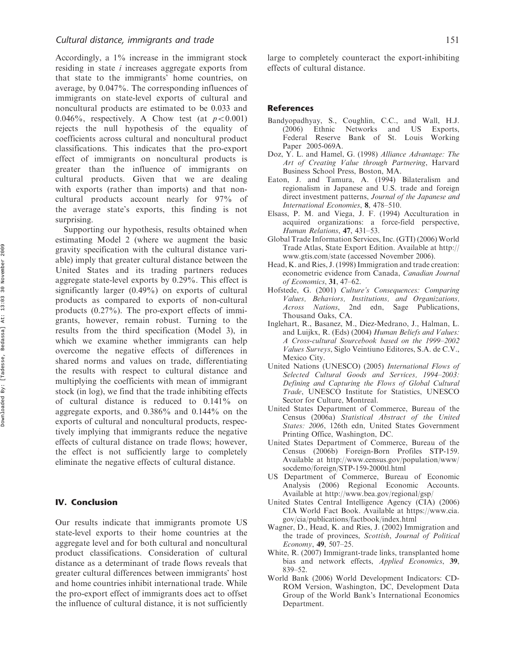Accordingly, a 1% increase in the immigrant stock residing in state i increases aggregate exports from that state to the immigrants' home countries, on average, by 0.047%. The corresponding influences of immigrants on state-level exports of cultural and noncultural products are estimated to be 0.033 and 0.046%, respectively. A Chow test (at  $p<0.001$ ) rejects the null hypothesis of the equality of coefficients across cultural and noncultural product classifications. This indicates that the pro-export effect of immigrants on noncultural products is greater than the influence of immigrants on cultural products. Given that we are dealing with exports (rather than imports) and that noncultural products account nearly for 97% of the average state's exports, this finding is not surprising.

Supporting our hypothesis, results obtained when estimating Model 2 (where we augment the basic gravity specification with the cultural distance variable) imply that greater cultural distance between the United States and its trading partners reduces aggregate state-level exports by 0.29%. This effect is significantly larger (0.49%) on exports of cultural products as compared to exports of non-cultural products (0.27%). The pro-export effects of immigrants, however, remain robust. Turning to the results from the third specification (Model 3), in which we examine whether immigrants can help overcome the negative effects of differences in shared norms and values on trade, differentiating the results with respect to cultural distance and multiplying the coefficients with mean of immigrant stock (in log), we find that the trade inhibiting effects of cultural distance is reduced to 0.141% on aggregate exports, and 0.386% and 0.144% on the exports of cultural and noncultural products, respectively implying that immigrants reduce the negative effects of cultural distance on trade flows; however, the effect is not sufficiently large to completely eliminate the negative effects of cultural distance.

#### IV. Conclusion

Our results indicate that immigrants promote US state-level exports to their home countries at the aggregate level and for both cultural and noncultural product classifications. Consideration of cultural distance as a determinant of trade flows reveals that greater cultural differences between immigrants' host and home countries inhibit international trade. While the pro-export effect of immigrants does act to offset the influence of cultural distance, it is not sufficiently

large to completely counteract the export-inhibiting effects of cultural distance.

#### References

- Bandyopadhyay, S., Coughlin, C.C., and Wall, H.J. (2006) Ethnic Networks and US Exports, Federal Reserve Bank of St. Louis Working Paper 2005-069A.
- Doz, Y. L. and Hamel, G. (1998) Alliance Advantage: The Art of Creating Value through Partnering, Harvard Business School Press, Boston, MA.
- Eaton, J. and Tamura, A. (1994) Bilateralism and regionalism in Japanese and U.S. trade and foreign direct investment patterns, Journal of the Japanese and International Economies, 8, 478–510.
- Elsass, P. M. and Viega, J. F. (1994) Acculturation in acquired organizations: a force-field perspective, Human Relations, 47, 431–53.
- Global Trade Information Services, Inc. (GTI) (2006) World Trade Atlas, State Export Edition. Available at [http://](http://www.gtis.com/state) [www.gtis.com/state \(a](http://www.gtis.com/state)ccessed November 2006).
- Head, K. and Ries, J. (1998) Immigration and trade creation: econometric evidence from Canada, Canadian Journal of Economics, 31, 47–62.
- Hofstede, G. (2001) Culture's Consequences: Comparing Values, Behaviors, Institutions, and Organizations, Across Nations, 2nd edn, Sage Publications, Thousand Oaks, CA.
- Inglehart, R., Basanez, M., Diez-Medrano, J., Halman, L. and Luijkx, R. (Eds) (2004) Human Beliefs and Values: A Cross-cultural Sourcebook based on the 1999–2002 Values Surveys, Siglo Veintiuno Editores, S.A. de C.V., Mexico City.
- United Nations (UNESCO) (2005) International Flows of Selected Cultural Goods and Services, 1994–2003: Defining and Capturing the Flows of Global Cultural Trade, UNESCO Institute for Statistics, UNESCO Sector for Culture, Montreal.
- United States Department of Commerce, Bureau of the Census (2006a) Statistical Abstract of the United States: 2006, 126th edn, United States Government Printing Office, Washington, DC.
- United States Department of Commerce, Bureau of the Census (2006b) Foreign-Born Profiles STP-159. Available at [http://www.census.gov/population/www/](http://www.census.gov/population/www/socdemo/foreign/STP-159-2000tl.html) [socdemo/foreign/STP-159-2000tl.html](http://www.census.gov/population/www/socdemo/foreign/STP-159-2000tl.html)
- US Department of Commerce, Bureau of Economic Analysis (2006) Regional Economic Accounts. Available at [http://www.bea.gov/regional/gsp/](http://www.bea.gov/regional/gsp)
- United States Central Intelligence Agency (CIA) (2006) CIA World Fact Book. Available at [https://www.cia.](https://www.cia.gov/cia/publications/factbook/index.html) [gov/cia/publications/factbook/index.html](https://www.cia.gov/cia/publications/factbook/index.html)
- Wagner, D., Head, K. and Ries, J. (2002) Immigration and the trade of provinces, Scottish, Journal of Political Economy, 49, 507–25.
- White, R. (2007) Immigrant-trade links, transplanted home bias and network effects, Applied Economics, 39, 839–52.
- World Bank (2006) World Development Indicators: CD-ROM Version, Washington, DC, Development Data Group of the World Bank's International Economics Department.